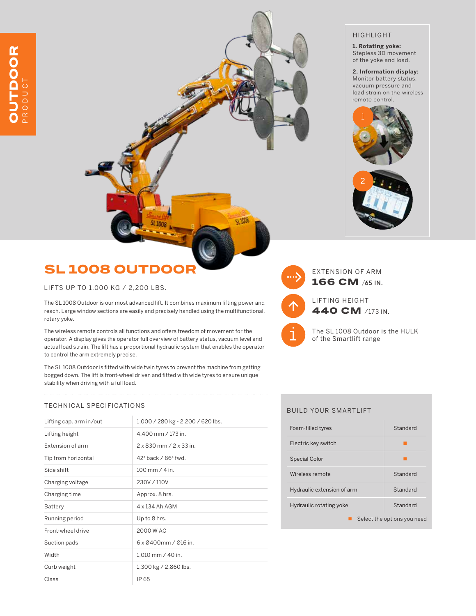## SL 1008 OUTDOO

LIFTS UP TO 1,000 KG / 2,200 LBS.

The SL 1008 Outdoor is our most advanced lift. It combines maximum lifting power and reach. Large window sections are easily and precisely handled using the multifunctional, rotary yoke.

The wireless remote controls all functions and offers freedom of movement for the operator. A display gives the operator full overview of battery status, vacuum level and actual load strain. The lift has a proportional hydraulic system that enables the operator to control the arm extremely precise.

The SL 1008 Outdoor is fitted with wide twin tyres to prevent the machine from getting bogged down. The lift is front-wheel driven and fitted with wide tyres to ensure unique stability when driving with a full load.

#### TECHNICAL SPECIFICATIONS

| Lifting cap. arm in/out | 1,000 / 280 kg - 2,200 / 620 lbs.     |
|-------------------------|---------------------------------------|
| Lifting height          | 4,400 mm / 173 in.                    |
| <b>Extension of arm</b> | $2 \times 830$ mm $/2 \times 33$ in   |
| Tip from horizontal     | $42^{\circ}$ back / $86^{\circ}$ fwd. |
| Side shift              | $100 \, \text{mm}$ / 4 in             |
| Charging voltage        | 230V / 110V                           |
| Charging time           | Approx. 8 hrs.                        |
| Battery                 | 4 x 134 Ah AGM                        |
| Running period          | Up to 8 hrs.                          |
| Front-wheel drive       | 2000 W AC                             |
| Suction pads            | $6 \times 0400$ mm / 016 in           |
| Width                   | 1,010 mm / 40 in.                     |
| Curb weight             | 1,300 kg / 2,860 lbs.                 |
| Class                   | IP 65                                 |

#### HIGHLIGHT

**1. Rotating yoke:** Stepless 3D movement of the yoke and load.

**2. Information display:** Monitor battery status, vacuum pressure and load strain on the wireless remote control.







u ww

166 CM **/65 IN.**

LIFTING HEIGHT 440 CM /173 **IN.**

The SL 1008 Outdoor is the HULK of the Smartlift range

#### BUILD YOUR SMARTLIFT

| Foam-filled tyres           | Standard |
|-----------------------------|----------|
| Electric key switch         |          |
| <b>Special Color</b>        |          |
| Wireless remote             | Standard |
| Hydraulic extension of arm  | Standard |
| Hydraulic rotating yoke     | Standard |
| Select the options you need |          |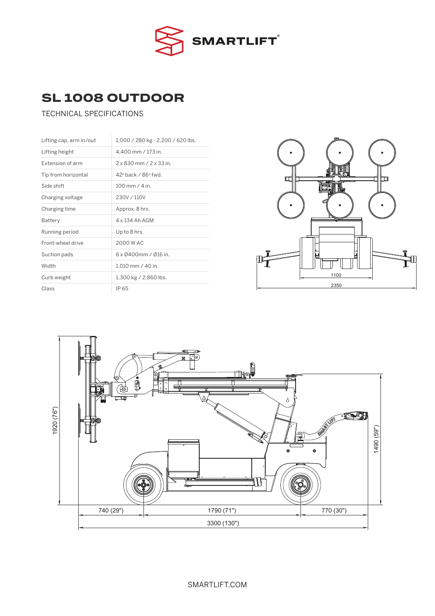

# SL 1008 OUTDOOR<br>IECHNICAL SPECIECATIONS

### TECHNICAL SPECIFICATIONS

| Lifting cap. arm in/out | 1,000 / 280 kg - 2,200 / 620 lbs.     |
|-------------------------|---------------------------------------|
| Lifting height          | 4,400 mm / 173 in.                    |
| Extension of arm        | $2 \times 830$ mm $/ 2 \times 33$ in. |
| Tip from horizontal     | 42° back / 86° fwd.                   |
| Side shift              | $100 \, \text{mm}$ / 4 in             |
| Charging voltage        | 230V / 110V                           |
| Charging time           | Approx. 8 hrs.                        |
| Battery                 | 4 x 134 Ah AGM                        |
| Running period          | Up to 8 hrs.                          |
| Front-wheel drive       | 2000 W AC                             |
| Suction pads            | $6 \times 0400$ mm / 016 in.          |
| Width                   | 1.010 mm / 40 in.                     |
| Curb weight             | 1,300 kg / 2,860 lbs.                 |
| Class                   | IP 65                                 |